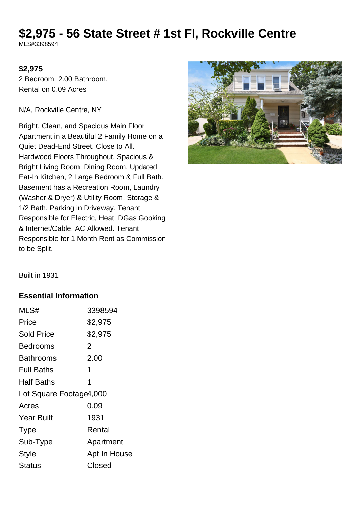# **\$2,975 - 56 State Street # 1st Fl, Rockville Centre**

MLS#3398594

#### **\$2,975**

2 Bedroom, 2.00 Bathroom, Rental on 0.09 Acres

N/A, Rockville Centre, NY

Bright, Clean, and Spacious Main Floor Apartment in a Beautiful 2 Family Home on a Quiet Dead-End Street. Close to All. Hardwood Floors Throughout. Spacious & Bright Living Room, Dining Room, Updated Eat-In Kitchen, 2 Large Bedroom & Full Bath. Basement has a Recreation Room, Laundry (Washer & Dryer) & Utility Room, Storage & 1/2 Bath. Parking in Driveway. Tenant Responsible for Electric, Heat, DGas Gooking & Internet/Cable. AC Allowed. Tenant Responsible for 1 Month Rent as Commission to be Split.



Built in 1931

#### **Essential Information**

| MLS#                    | 3398594      |  |
|-------------------------|--------------|--|
| Price                   | \$2,975      |  |
| <b>Sold Price</b>       | \$2,975      |  |
| Bedrooms                | 2            |  |
| Bathrooms               | 2.00         |  |
| <b>Full Baths</b>       | 1            |  |
| <b>Half Baths</b>       | 1            |  |
| Lot Square Footage4,000 |              |  |
| Acres                   | 0.09         |  |
| <b>Year Built</b>       | 1931         |  |
| <b>Type</b>             | Rental       |  |
| Sub-Type                | Apartment    |  |
| <b>Style</b>            | Apt In House |  |
| Status                  | Closed       |  |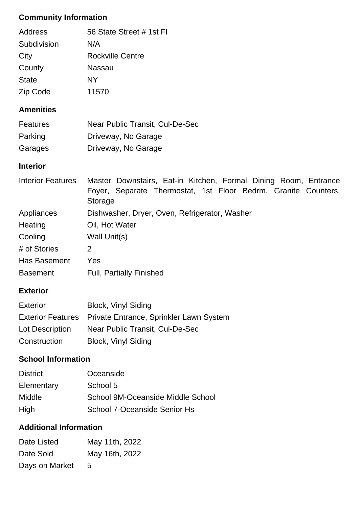# **Community Information**

| Address      | 56 State Street # 1st Fl |
|--------------|--------------------------|
| Subdivision  | N/A                      |
| City         | <b>Rockville Centre</b>  |
| County       | <b>Nassau</b>            |
| <b>State</b> | NΥ                       |
| Zip Code     | 11570                    |

#### **Amenities**

| <b>Features</b> | Near Public Transit, Cul-De-Sec |
|-----------------|---------------------------------|
| Parking         | Driveway, No Garage             |
| Garages         | Driveway, No Garage             |

### **Interior**

| <b>Interior Features</b> | Master Downstairs, Eat-in Kitchen, Formal Dining Room, Entrance |
|--------------------------|-----------------------------------------------------------------|
|                          | Foyer, Separate Thermostat, 1st Floor Bedrm, Granite Counters,  |
|                          | Storage                                                         |
| Appliances               | Dishwasher, Dryer, Oven, Refrigerator, Washer                   |
| Heating                  | Oil, Hot Water                                                  |
| Cooling                  | Wall Unit(s)                                                    |
| # of Stories             | 2                                                               |
| Has Basement             | Yes                                                             |
| <b>Basement</b>          | <b>Full, Partially Finished</b>                                 |

## **Exterior**

| Exterior        | <b>Block, Vinyl Siding</b>                                |
|-----------------|-----------------------------------------------------------|
|                 | Exterior Features Private Entrance, Sprinkler Lawn System |
| Lot Description | Near Public Transit, Cul-De-Sec                           |
| Construction    | <b>Block, Vinyl Siding</b>                                |

## **School Information**

| <b>District</b> | Oceanside                         |
|-----------------|-----------------------------------|
| Elementary      | School 5                          |
| <b>Middle</b>   | School 9M-Oceanside Middle School |
| High            | School 7-Oceanside Senior Hs      |

# **Additional Information**

| Date Listed    | May 11th, 2022 |
|----------------|----------------|
| Date Sold      | May 16th, 2022 |
| Days on Market | $\mathbf{b}$   |